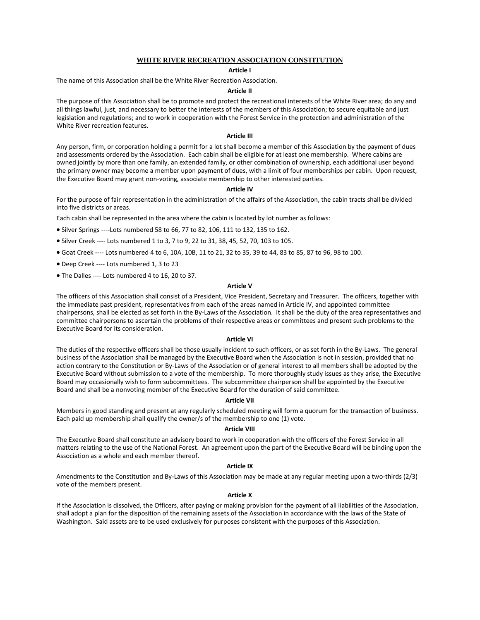# **WHITE RIVER RECREATION ASSOCIATION CONSTITUTION**

# **Article I**

The name of this Association shall be the White River Recreation Association.

# **Article II**

The purpose of this Association shall be to promote and protect the recreational interests of the White River area; do any and all things lawful, just, and necessary to better the interests of the members of this Association; to secure equitable and just legislation and regulations; and to work in cooperation with the Forest Service in the protection and administration of the White River recreation features.

### **Article III**

Any person, firm, or corporation holding a permit for a lot shall become a member of this Association by the payment of dues and assessments ordered by the Association. Each cabin shall be eligible for at least one membership. Where cabins are owned jointly by more than one family, an extended family, or other combination of ownership, each additional user beyond the primary owner may become a member upon payment of dues, with a limit of four memberships per cabin. Upon request, the Executive Board may grant non-voting, associate membership to other interested parties.

#### **Article IV**

For the purpose of fair representation in the administration of the affairs of the Association, the cabin tracts shall be divided into five districts or areas.

Each cabin shall be represented in the area where the cabin is located by lot number as follows:

- Silver Springs ----Lots numbered 58 to 66, 77 to 82, 106, 111 to 132, 135 to 162.
- Silver Creek ---- Lots numbered 1 to 3, 7 to 9, 22 to 31, 38, 45, 52, 70, 103 to 105.
- Goat Creek ---- Lots numbered 4 to 6, 10A, 10B, 11 to 21, 32 to 35, 39 to 44, 83 to 85, 87 to 96, 98 to 100.
- Deep Creek ---- Lots numbered 1, 3 to 23
- The Dalles ---- Lots numbered 4 to 16, 20 to 37.

# **Article V**

The officers of this Association shall consist of a President, Vice President, Secretary and Treasurer. The officers, together with the immediate past president, representatives from each of the areas named in Article IV, and appointed committee chairpersons, shall be elected as set forth in the By-Laws of the Association. It shall be the duty of the area representatives and committee chairpersons to ascertain the problems of their respective areas or committees and present such problems to the Executive Board for its consideration.

## **Article VI**

The duties of the respective officers shall be those usually incident to such officers, or as set forth in the By-Laws. The general business of the Association shall be managed by the Executive Board when the Association is not in session, provided that no action contrary to the Constitution or By-Laws of the Association or of general interest to all members shall be adopted by the Executive Board without submission to a vote of the membership. To more thoroughly study issues as they arise, the Executive Board may occasionally wish to form subcommittees. The subcommittee chairperson shall be appointed by the Executive Board and shall be a nonvoting member of the Executive Board for the duration of said committee.

# **Article VII**

Members in good standing and present at any regularly scheduled meeting will form a quorum for the transaction of business. Each paid up membership shall qualify the owner/s of the membership to one (1) vote.

### **Article VIII**

The Executive Board shall constitute an advisory board to work in cooperation with the officers of the Forest Service in all matters relating to the use of the National Forest. An agreement upon the part of the Executive Board will be binding upon the Association as a whole and each member thereof.

# **Article IX**

Amendments to the Constitution and By-Laws of this Association may be made at any regular meeting upon a two-thirds (2/3) vote of the members present.

### **Article X**

If the Association is dissolved, the Officers, after paying or making provision for the payment of all liabilities of the Association, shall adopt a plan for the disposition of the remaining assets of the Association in accordance with the laws of the State of Washington. Said assets are to be used exclusively for purposes consistent with the purposes of this Association.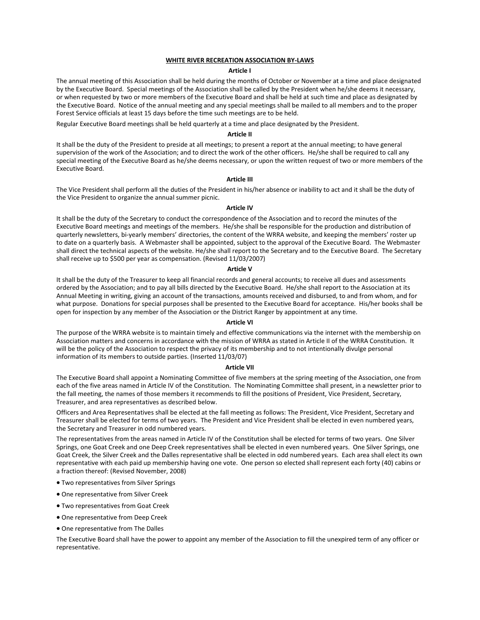# **WHITE RIVER RECREATION ASSOCIATION BY-LAWS**

## **Article I**

The annual meeting of this Association shall be held during the months of October or November at a time and place designated by the Executive Board. Special meetings of the Association shall be called by the President when he/she deems it necessary, or when requested by two or more members of the Executive Board and shall be held at such time and place as designated by the Executive Board. Notice of the annual meeting and any special meetings shall be mailed to all members and to the proper Forest Service officials at least 15 days before the time such meetings are to be held.

Regular Executive Board meetings shall be held quarterly at a time and place designated by the President.

#### **Article II**

It shall be the duty of the President to preside at all meetings; to present a report at the annual meeting; to have general supervision of the work of the Association; and to direct the work of the other officers. He/she shall be required to call any special meeting of the Executive Board as he/she deems necessary, or upon the written request of two or more members of the Executive Board.

# **Article III**

The Vice President shall perform all the duties of the President in his/her absence or inability to act and it shall be the duty of the Vice President to organize the annual summer picnic.

### **Article IV**

It shall be the duty of the Secretary to conduct the correspondence of the Association and to record the minutes of the Executive Board meetings and meetings of the members. He/she shall be responsible for the production and distribution of quarterly newsletters, bi-yearly members' directories, the content of the WRRA website, and keeping the members' roster up to date on a quarterly basis. A Webmaster shall be appointed, subject to the approval of the Executive Board. The Webmaster shall direct the technical aspects of the website. He/she shall report to the Secretary and to the Executive Board. The Secretary shall receive up to \$500 per year as compensation. (Revised 11/03/2007)

### **Article V**

It shall be the duty of the Treasurer to keep all financial records and general accounts; to receive all dues and assessments ordered by the Association; and to pay all bills directed by the Executive Board. He/she shall report to the Association at its Annual Meeting in writing, giving an account of the transactions, amounts received and disbursed, to and from whom, and for what purpose. Donations for special purposes shall be presented to the Executive Board for acceptance. His/her books shall be open for inspection by any member of the Association or the District Ranger by appointment at any time.

### **Article VI**

The purpose of the WRRA website is to maintain timely and effective communications via the internet with the membership on Association matters and concerns in accordance with the mission of WRRA as stated in Article II of the WRRA Constitution. It will be the policy of the Association to respect the privacy of its membership and to not intentionally divulge personal information of its members to outside parties. (Inserted 11/03/07)

#### **Article VII**

The Executive Board shall appoint a Nominating Committee of five members at the spring meeting of the Association, one from each of the five areas named in Article IV of the Constitution. The Nominating Committee shall present, in a newsletter prior to the fall meeting, the names of those members it recommends to fill the positions of President, Vice President, Secretary, Treasurer, and area representatives as described below.

Officers and Area Representatives shall be elected at the fall meeting as follows: The President, Vice President, Secretary and Treasurer shall be elected for terms of two years. The President and Vice President shall be elected in even numbered years, the Secretary and Treasurer in odd numbered years.

The representatives from the areas named in Article IV of the Constitution shall be elected for terms of two years. One Silver Springs, one Goat Creek and one Deep Creek representatives shall be elected in even numbered years. One Silver Springs, one Goat Creek, the Silver Creek and the Dalles representative shall be elected in odd numbered years. Each area shall elect its own representative with each paid up membership having one vote. One person so elected shall represent each forty (40) cabins or a fraction thereof: (Revised November, 2008)

- Two representatives from Silver Springs
- One representative from Silver Creek
- Two representatives from Goat Creek
- One representative from Deep Creek
- One representative from The Dalles

The Executive Board shall have the power to appoint any member of the Association to fill the unexpired term of any officer or representative.